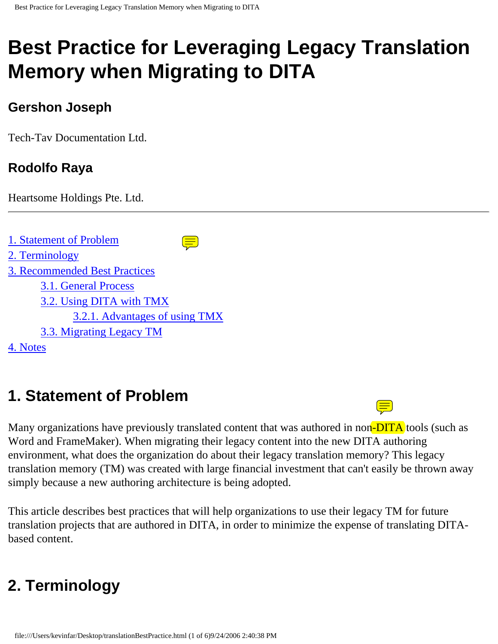# **Best Practice for Leveraging Legacy Translation Memory when Migrating to DITA**

### **Gershon Joseph**

Tech-Tav Documentation Ltd.

# **Rodolfo Raya**

Heartsome Holdings Pte. Ltd.

```
1. Statement of Problem
                                      \textcircled{\Xi}2. Terminology
3. Recommended Best Practices
       3.1. General Process
       3.2. Using DITA with TMX
              3.2.1. Advantages of using TMX
       3.3. Migrating Legacy TM
4. Notes
```
# <span id="page-0-0"></span>**1. Statement of Problem**

Many organizations have previously translated content that was authored in non-DITA tools (such as Word and FrameMaker). When migrating their legacy content into the new DITA authoring environment, what does the organization do about their legacy translation memory? This legacy translation memory (TM) was created with large financial investment that can't easily be thrown away simply because a new authoring architecture is being adopted.

This article describes best practices that will help organizations to use their legacy TM for future translation projects that are authored in DITA, in order to minimize the expense of translating DITAbased content.

# <span id="page-0-1"></span>**2. Terminology**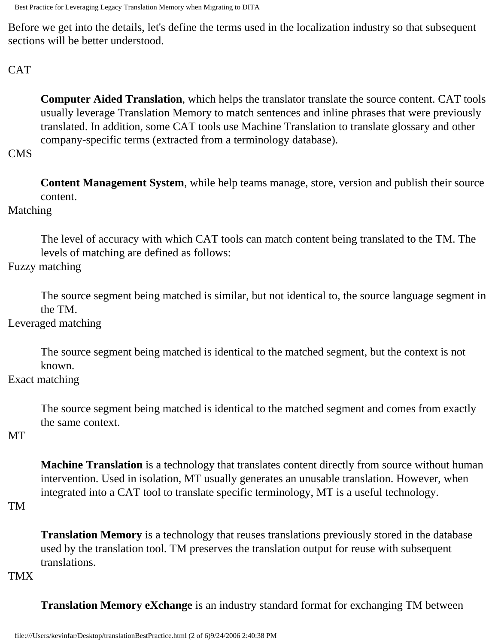Best Practice for Leveraging Legacy Translation Memory when Migrating to DITA

Before we get into the details, let's define the terms used in the localization industry so that subsequent sections will be better understood.

#### **CAT**

**Computer Aided Translation**, which helps the translator translate the source content. CAT tools usually leverage Translation Memory to match sentences and inline phrases that were previously translated. In addition, some CAT tools use Machine Translation to translate glossary and other company-specific terms (extracted from a terminology database).

#### CMS

**Content Management System**, while help teams manage, store, version and publish their source content.

#### Matching

The level of accuracy with which CAT tools can match content being translated to the TM. The levels of matching are defined as follows:

#### Fuzzy matching

The source segment being matched is similar, but not identical to, the source language segment in the TM.

#### Leveraged matching

The source segment being matched is identical to the matched segment, but the context is not known.

#### Exact matching

The source segment being matched is identical to the matched segment and comes from exactly the same context.

#### MT

**Machine Translation** is a technology that translates content directly from source without human intervention. Used in isolation, MT usually generates an unusable translation. However, when integrated into a CAT tool to translate specific terminology, MT is a useful technology.

#### TM

**Translation Memory** is a technology that reuses translations previously stored in the database used by the translation tool. TM preserves the translation output for reuse with subsequent translations.

#### TMX

**Translation Memory eXchange** is an industry standard format for exchanging TM between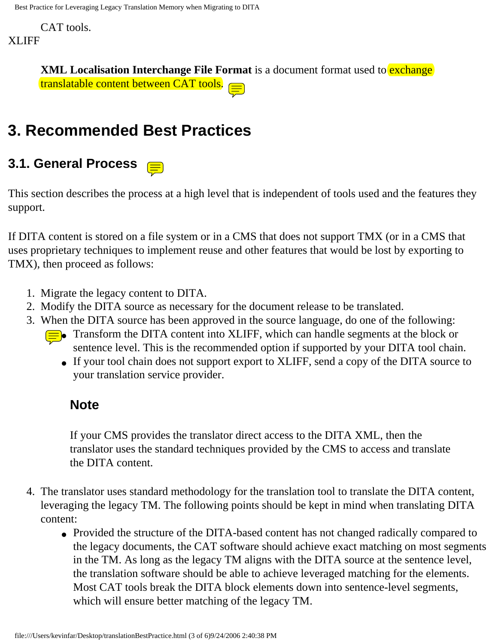CAT tools.

#### XLIFF

**XML Localisation Interchange File Format** is a document format used to **exchange** translatable content between CAT tools.

# **3. Recommended Best Practices**

# <span id="page-2-0"></span>**3.1. General Process**

This section describes the process at a high level that is independent of tools used and the features they support.

If DITA content is stored on a file system or in a CMS that does not support TMX (or in a CMS that uses proprietary techniques to implement reuse and other features that would be lost by exporting to TMX), then proceed as follows:

- 1. Migrate the legacy content to DITA.
- 2. Modify the DITA source as necessary for the document release to be translated.
- 3. When the DITA source has been approved in the source language, do one of the following:
	- $\equiv$  Transform the DITA content into XLIFF, which can handle segments at the block or sentence level. This is the recommended option if supported by your DITA tool chain.
		- If your tool chain does not support export to XLIFF, send a copy of the DITA source to your translation service provider.

#### **Note**

If your CMS provides the translator direct access to the DITA XML, then the translator uses the standard techniques provided by the CMS to access and translate the DITA content.

- 4. The translator uses standard methodology for the translation tool to translate the DITA content, leveraging the legacy TM. The following points should be kept in mind when translating DITA content:
	- Provided the structure of the DITA-based content has not changed radically compared to the legacy documents, the CAT software should achieve exact matching on most segments in the TM. As long as the legacy TM aligns with the DITA source at the sentence level, the translation software should be able to achieve leveraged matching for the elements. Most CAT tools break the DITA block elements down into sentence-level segments, which will ensure better matching of the legacy TM.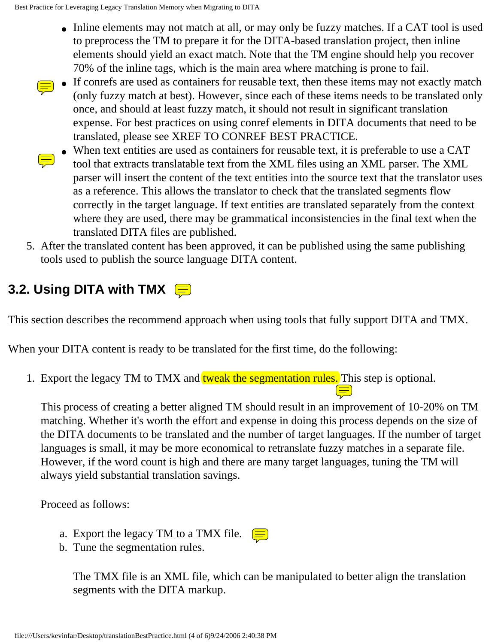- Inline elements may not match at all, or may only be fuzzy matches. If a CAT tool is used to preprocess the TM to prepare it for the DITA-based translation project, then inline elements should yield an exact match. Note that the TM engine should help you recover 70% of the inline tags, which is the main area where matching is prone to fail.
- If conrefs are used as containers for reusable text, then these items may not exactly match (only fuzzy match at best). However, since each of these items needs to be translated only once, and should at least fuzzy match, it should not result in significant translation expense. For best practices on using conref elements in DITA documents that need to be translated, please see XREF TO CONREF BEST PRACTICE.
- When text entities are used as containers for reusable text, it is preferable to use a CAT tool that extracts translatable text from the XML files using an XML parser. The XML parser will insert the content of the text entities into the source text that the translator uses as a reference. This allows the translator to check that the translated segments flow correctly in the target language. If text entities are translated separately from the context where they are used, there may be grammatical inconsistencies in the final text when the translated DITA files are published.
- 5. After the translated content has been approved, it can be published using the same publishing tools used to publish the source language DITA content.

# <span id="page-3-0"></span>**3.2. Using DITA with TMX**

This section describes the recommend approach when using tools that fully support DITA and TMX.

When your DITA content is ready to be translated for the first time, do the following:

1. Export the legacy TM to TMX and tweak the segmentation rules. This step is optional.

This process of creating a better aligned TM should result in an improvement of 10-20% on TM matching. Whether it's worth the effort and expense in doing this process depends on the size of the DITA documents to be translated and the number of target languages. If the number of target languages is small, it may be more economical to retranslate fuzzy matches in a separate file. However, if the word count is high and there are many target languages, tuning the TM will always yield substantial translation savings.

Proceed as follows:

- a. Export the legacy TM to a TMX file.  $(\equiv)$
- b. Tune the segmentation rules.

The TMX file is an XML file, which can be manipulated to better align the translation segments with the DITA markup.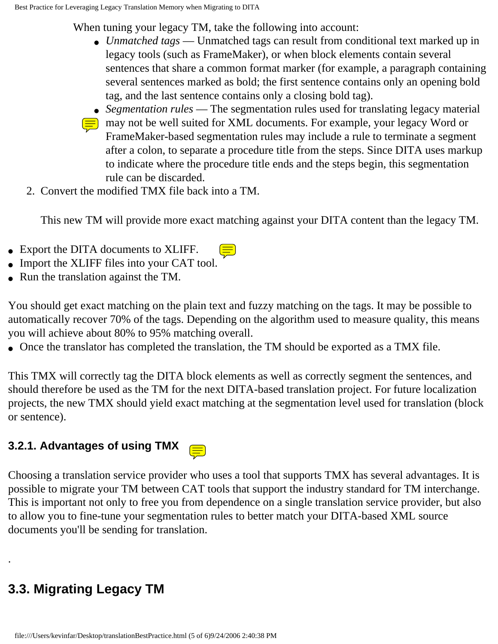When tuning your legacy TM, take the following into account:

- *Unmatched tags* Unmatched tags can result from conditional text marked up in legacy tools (such as FrameMaker), or when block elements contain several sentences that share a common format marker (for example, a paragraph containing several sentences marked as bold; the first sentence contains only an opening bold tag, and the last sentence contains only a closing bold tag).
- *Segmentation rules* The segmentation rules used for translating legacy material
- $\equiv$  may not be well suited for XML documents. For example, your legacy Word or FrameMaker-based segmentation rules may include a rule to terminate a segment after a colon, to separate a procedure title from the steps. Since DITA uses markup to indicate where the procedure title ends and the steps begin, this segmentation rule can be discarded.
- 2. Convert the modified TMX file back into a TM.

This new TM will provide more exact matching against your DITA content than the legacy TM.

- Export the DITA documents to XLIFF.
- Import the XLIFF files into your CAT tool.
- Run the translation against the TM.

You should get exact matching on the plain text and fuzzy matching on the tags. It may be possible to automatically recover 70% of the tags. Depending on the algorithm used to measure quality, this means you will achieve about 80% to 95% matching overall.

• Once the translator has completed the translation, the TM should be exported as a TMX file.

This TMX will correctly tag the DITA block elements as well as correctly segment the sentences, and should therefore be used as the TM for the next DITA-based translation project. For future localization projects, the new TMX should yield exact matching at the segmentation level used for translation (block or sentence).

### <span id="page-4-0"></span>**3.2.1. Advantages of using TMX**

Choosing a translation service provider who uses a tool that supports TMX has several advantages. It is possible to migrate your TM between CAT tools that support the industry standard for TM interchange. This is important not only to free you from dependence on a single translation service provider, but also to allow you to fine-tune your segmentation rules to better match your DITA-based XML source documents you'll be sending for translation.

# <span id="page-4-1"></span>**3.3. Migrating Legacy TM**

.